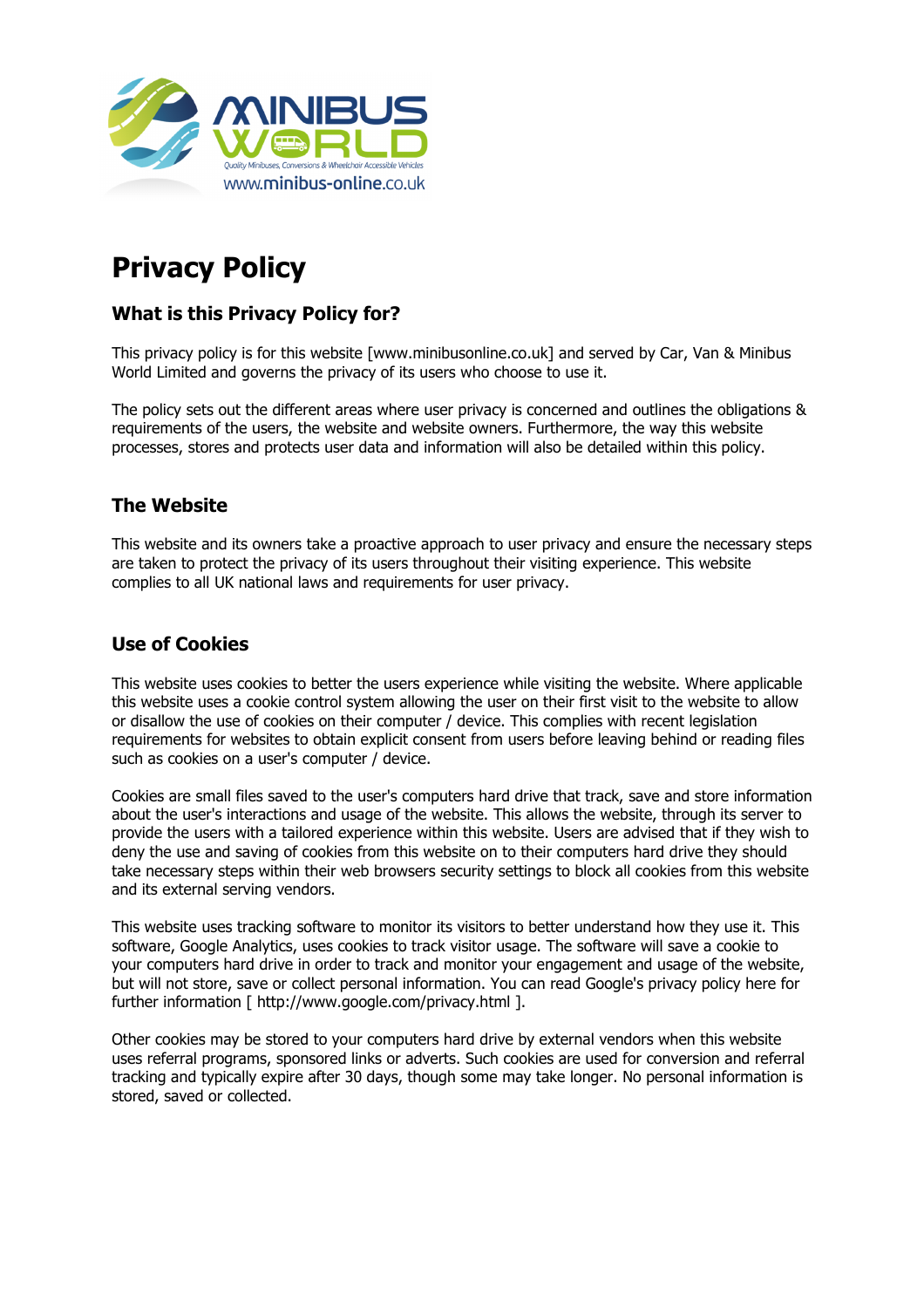

# **Privacy Policy**

# **What is this Privacy Policy for?**

This privacy policy is for this website [www.minibusonline.co.uk] and served by Car, Van & Minibus World Limited and governs the privacy of its users who choose to use it.

The policy sets out the different areas where user privacy is concerned and outlines the obligations & requirements of the users, the website and website owners. Furthermore, the way this website processes, stores and protects user data and information will also be detailed within this policy.

# **The Website**

This website and its owners take a proactive approach to user privacy and ensure the necessary steps are taken to protect the privacy of its users throughout their visiting experience. This website complies to all UK national laws and requirements for user privacy.

#### **Use of Cookies**

This website uses cookies to better the users experience while visiting the website. Where applicable this website uses a cookie control system allowing the user on their first visit to the website to allow or disallow the use of cookies on their computer / device. This complies with recent legislation requirements for websites to obtain explicit consent from users before leaving behind or reading files such as cookies on a user's computer / device.

Cookies are small files saved to the user's computers hard drive that track, save and store information about the user's interactions and usage of the website. This allows the website, through its server to provide the users with a tailored experience within this website. Users are advised that if they wish to deny the use and saving of cookies from this website on to their computers hard drive they should take necessary steps within their web browsers security settings to block all cookies from this website and its external serving vendors.

This website uses tracking software to monitor its visitors to better understand how they use it. This software, Google Analytics, uses cookies to track visitor usage. The software will save a cookie to your computers hard drive in order to track and monitor your engagement and usage of the website, but will not store, save or collect personal information. You can read Google's privacy policy here for further information [ http://www.google.com/privacy.html ].

Other cookies may be stored to your computers hard drive by external vendors when this website uses referral programs, sponsored links or adverts. Such cookies are used for conversion and referral tracking and typically expire after 30 days, though some may take longer. No personal information is stored, saved or collected.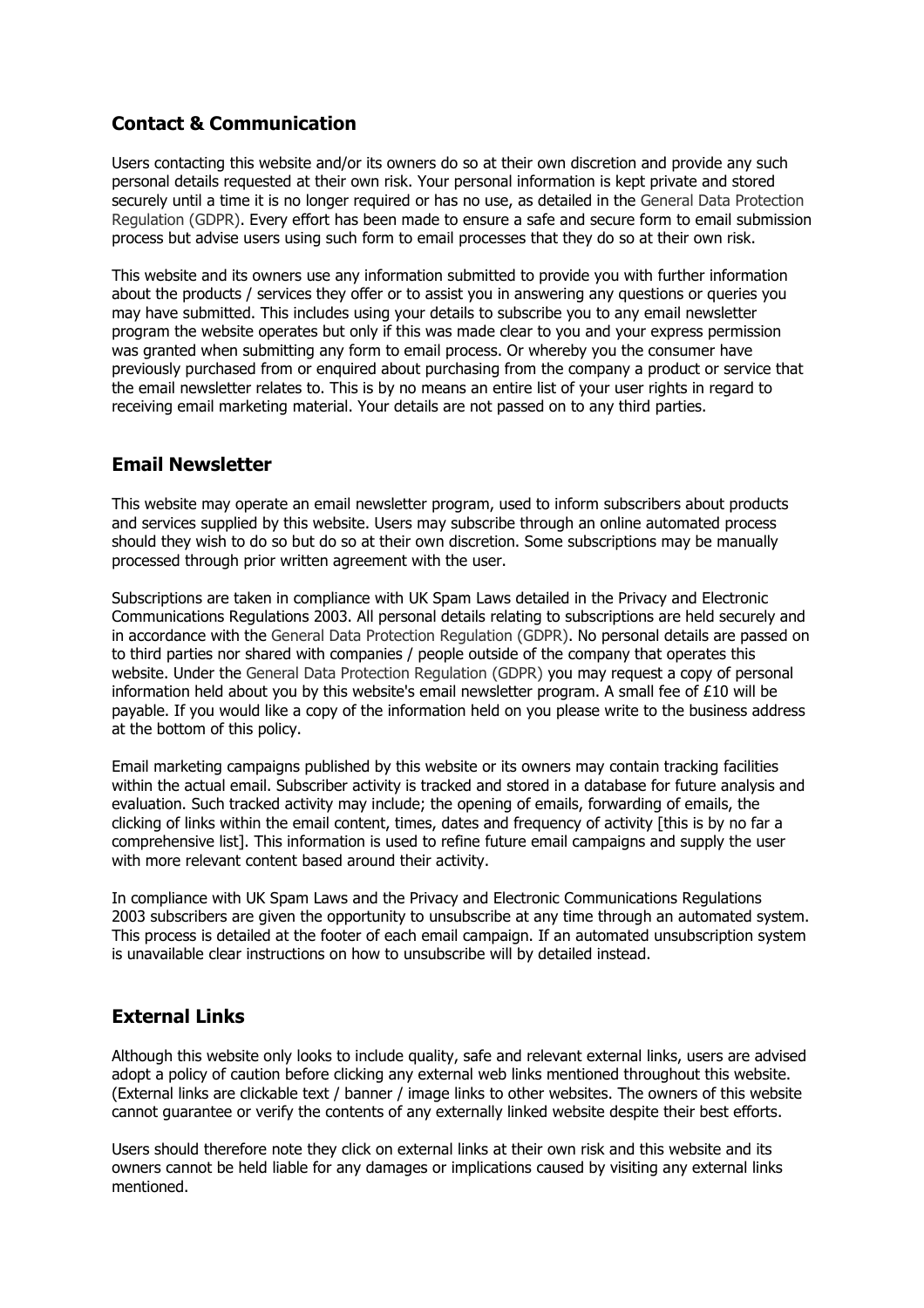# **Contact & Communication**

Users contacting this website and/or its owners do so at their own discretion and provide any such personal details requested at their own risk. Your personal information is kept private and stored securely until a time it is no longer required or has no use, as detailed in the General Data Protection Regulation (GDPR). Every effort has been made to ensure a safe and secure form to email submission process but advise users using such form to email processes that they do so at their own risk.

This website and its owners use any information submitted to provide you with further information about the products / services they offer or to assist you in answering any questions or queries you may have submitted. This includes using your details to subscribe you to any email newsletter program the website operates but only if this was made clear to you and your express permission was granted when submitting any form to email process. Or whereby you the consumer have previously purchased from or enquired about purchasing from the company a product or service that the email newsletter relates to. This is by no means an entire list of your user rights in regard to receiving email marketing material. Your details are not passed on to any third parties.

#### **Email Newsletter**

This website may operate an email newsletter program, used to inform subscribers about products and services supplied by this website. Users may subscribe through an online automated process should they wish to do so but do so at their own discretion. Some subscriptions may be manually processed through prior written agreement with the user.

Subscriptions are taken in compliance with UK Spam Laws detailed in the Privacy and Electronic Communications Regulations 2003. All personal details relating to subscriptions are held securely and in accordance with the General Data Protection Regulation (GDPR). No personal details are passed on to third parties nor shared with companies / people outside of the company that operates this website. Under the General Data Protection Regulation (GDPR) you may request a copy of personal information held about you by this website's email newsletter program. A small fee of £10 will be payable. If you would like a copy of the information held on you please write to the business address at the bottom of this policy.

Email marketing campaigns published by this website or its owners may contain tracking facilities within the actual email. Subscriber activity is tracked and stored in a database for future analysis and evaluation. Such tracked activity may include; the opening of emails, forwarding of emails, the clicking of links within the email content, times, dates and frequency of activity [this is by no far a comprehensive list]. This information is used to refine future email campaigns and supply the user with more relevant content based around their activity.

In compliance with UK Spam Laws and the Privacy and Electronic Communications Regulations 2003 subscribers are given the opportunity to unsubscribe at any time through an automated system. This process is detailed at the footer of each email campaign. If an automated unsubscription system is unavailable clear instructions on how to unsubscribe will by detailed instead.

# **External Links**

Although this website only looks to include quality, safe and relevant external links, users are advised adopt a policy of caution before clicking any external web links mentioned throughout this website. (External links are clickable text / banner / image links to other websites. The owners of this website cannot guarantee or verify the contents of any externally linked website despite their best efforts.

Users should therefore note they click on external links at their own risk and this website and its owners cannot be held liable for any damages or implications caused by visiting any external links mentioned.